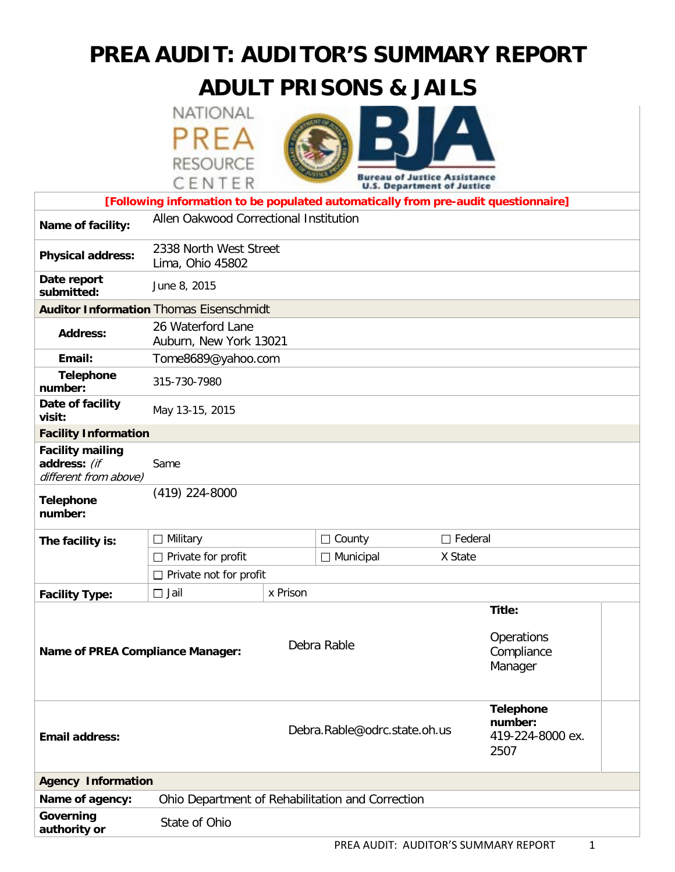# **PREA AUDIT: AUDITOR'S SUMMARY REPORT**

# **ADULT PRISONS & JAILS**

NATIONAL PREA **RESOURCE** 



|                                                                                    | CENTER                                         |                              | DALGUN OL JASEICE WIITIERIGE<br><b>U.S. Department of Justice</b> |         |                                                         |  |  |
|------------------------------------------------------------------------------------|------------------------------------------------|------------------------------|-------------------------------------------------------------------|---------|---------------------------------------------------------|--|--|
| [Following information to be populated automatically from pre-audit questionnaire] |                                                |                              |                                                                   |         |                                                         |  |  |
| Name of facility:                                                                  | Allen Oakwood Correctional Institution         |                              |                                                                   |         |                                                         |  |  |
| <b>Physical address:</b>                                                           | 2338 North West Street<br>Lima, Ohio 45802     |                              |                                                                   |         |                                                         |  |  |
| Date report<br>submitted:                                                          | June 8, 2015                                   |                              |                                                                   |         |                                                         |  |  |
|                                                                                    | <b>Auditor Information Thomas Eisenschmidt</b> |                              |                                                                   |         |                                                         |  |  |
| <b>Address:</b>                                                                    | 26 Waterford Lane<br>Auburn, New York 13021    |                              |                                                                   |         |                                                         |  |  |
| Email:                                                                             | Tome8689@yahoo.com                             |                              |                                                                   |         |                                                         |  |  |
| <b>Telephone</b><br>number:                                                        | 315-730-7980                                   |                              |                                                                   |         |                                                         |  |  |
| Date of facility<br>visit:                                                         | May 13-15, 2015                                |                              |                                                                   |         |                                                         |  |  |
| <b>Facility Information</b>                                                        |                                                |                              |                                                                   |         |                                                         |  |  |
| <b>Facility mailing</b><br>address: (if<br>different from above)                   | Same                                           |                              |                                                                   |         |                                                         |  |  |
| <b>Telephone</b><br>number:                                                        | (419) 224-8000                                 |                              |                                                                   |         |                                                         |  |  |
| The facility is:                                                                   | $\Box$ Military                                |                              | $\Box$ Federal<br>$\Box$ County                                   |         |                                                         |  |  |
|                                                                                    | $\Box$ Private for profit                      |                              | $\Box$ Municipal                                                  | X State |                                                         |  |  |
|                                                                                    | $\Box$ Private not for profit                  |                              |                                                                   |         |                                                         |  |  |
| <b>Facility Type:</b>                                                              | $\Box$ Jail                                    | x Prison                     |                                                                   |         |                                                         |  |  |
|                                                                                    |                                                |                              |                                                                   |         | Title:                                                  |  |  |
| <b>Name of PREA Compliance Manager:</b>                                            |                                                | Debra Rable                  |                                                                   |         | Operations<br>Compliance<br>Manager                     |  |  |
| <b>Email address:</b>                                                              |                                                | Debra.Rable@odrc.state.oh.us |                                                                   |         | <b>Telephone</b><br>number:<br>419-224-8000 ex.<br>2507 |  |  |
| <b>Agency Information</b>                                                          |                                                |                              |                                                                   |         |                                                         |  |  |
| Name of agency:                                                                    |                                                |                              | Ohio Department of Rehabilitation and Correction                  |         |                                                         |  |  |
| Governing<br>authority or                                                          | State of Ohio                                  |                              |                                                                   |         |                                                         |  |  |
|                                                                                    |                                                |                              |                                                                   |         |                                                         |  |  |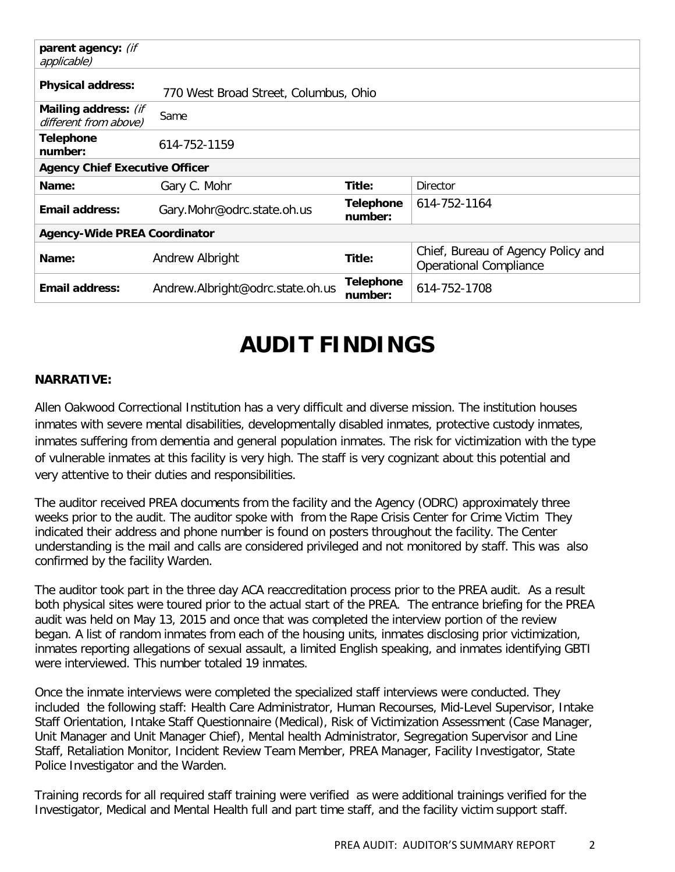| parent agency: (if<br>applicable)             |                                       |                             |                                                                     |  |  |  |
|-----------------------------------------------|---------------------------------------|-----------------------------|---------------------------------------------------------------------|--|--|--|
| <b>Physical address:</b>                      | 770 West Broad Street, Columbus, Ohio |                             |                                                                     |  |  |  |
| Mailing address: (if<br>different from above) | Same                                  |                             |                                                                     |  |  |  |
| <b>Telephone</b><br>number:                   | 614-752-1159                          |                             |                                                                     |  |  |  |
| <b>Agency Chief Executive Officer</b>         |                                       |                             |                                                                     |  |  |  |
| Name:                                         | Gary C. Mohr                          | Title:                      | Director                                                            |  |  |  |
| <b>Email address:</b>                         | Gary.Mohr@odrc.state.oh.us            | <b>Telephone</b><br>number: | 614-752-1164                                                        |  |  |  |
| <b>Agency-Wide PREA Coordinator</b>           |                                       |                             |                                                                     |  |  |  |
| Name:                                         | Andrew Albright                       | Title:                      | Chief, Bureau of Agency Policy and<br><b>Operational Compliance</b> |  |  |  |
| <b>Email address:</b>                         | Andrew.Albright@odrc.state.oh.us      | <b>Telephone</b><br>number: | 614-752-1708                                                        |  |  |  |

# **AUDIT FINDINGS**

#### **NARRATIVE:**

Allen Oakwood Correctional Institution has a very difficult and diverse mission. The institution houses inmates with severe mental disabilities, developmentally disabled inmates, protective custody inmates, inmates suffering from dementia and general population inmates. The risk for victimization with the type of vulnerable inmates at this facility is very high. The staff is very cognizant about this potential and very attentive to their duties and responsibilities.

The auditor received PREA documents from the facility and the Agency (ODRC) approximately three weeks prior to the audit. The auditor spoke with from the Rape Crisis Center for Crime Victim They indicated their address and phone number is found on posters throughout the facility. The Center understanding is the mail and calls are considered privileged and not monitored by staff. This was also confirmed by the facility Warden.

The auditor took part in the three day ACA reaccreditation process prior to the PREA audit. As a result both physical sites were toured prior to the actual start of the PREA. The entrance briefing for the PREA audit was held on May 13, 2015 and once that was completed the interview portion of the review began. A list of random inmates from each of the housing units, inmates disclosing prior victimization, inmates reporting allegations of sexual assault, a limited English speaking, and inmates identifying GBTI were interviewed. This number totaled 19 inmates.

Once the inmate interviews were completed the specialized staff interviews were conducted. They included the following staff: Health Care Administrator, Human Recourses, Mid-Level Supervisor, Intake Staff Orientation, Intake Staff Questionnaire (Medical), Risk of Victimization Assessment (Case Manager, Unit Manager and Unit Manager Chief), Mental health Administrator, Segregation Supervisor and Line Staff, Retaliation Monitor, Incident Review Team Member, PREA Manager, Facility Investigator, State Police Investigator and the Warden.

Training records for all required staff training were verified as were additional trainings verified for the Investigator, Medical and Mental Health full and part time staff, and the facility victim support staff.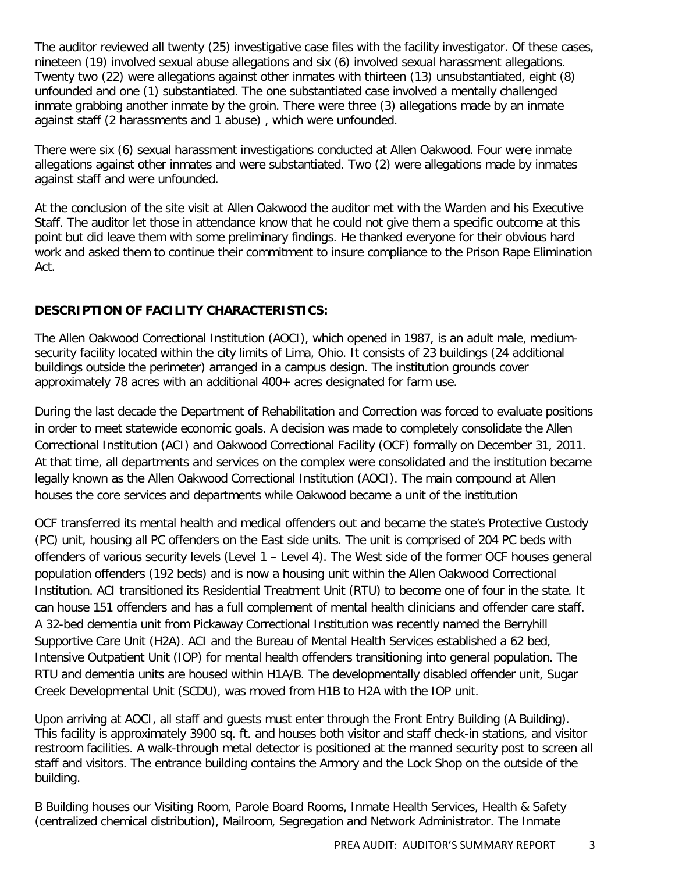The auditor reviewed all twenty (25) investigative case files with the facility investigator. Of these cases, nineteen (19) involved sexual abuse allegations and six (6) involved sexual harassment allegations. Twenty two (22) were allegations against other inmates with thirteen (13) unsubstantiated, eight (8) unfounded and one (1) substantiated. The one substantiated case involved a mentally challenged inmate grabbing another inmate by the groin. There were three (3) allegations made by an inmate against staff (2 harassments and 1 abuse) , which were unfounded.

There were six (6) sexual harassment investigations conducted at Allen Oakwood. Four were inmate allegations against other inmates and were substantiated. Two (2) were allegations made by inmates against staff and were unfounded.

At the conclusion of the site visit at Allen Oakwood the auditor met with the Warden and his Executive Staff. The auditor let those in attendance know that he could not give them a specific outcome at this point but did leave them with some preliminary findings. He thanked everyone for their obvious hard work and asked them to continue their commitment to insure compliance to the Prison Rape Elimination Act.

#### **DESCRIPTION OF FACILITY CHARACTERISTICS:**

The Allen Oakwood Correctional Institution (AOCI), which opened in 1987, is an adult male, mediumsecurity facility located within the city limits of Lima, Ohio. It consists of 23 buildings (24 additional buildings outside the perimeter) arranged in a campus design. The institution grounds cover approximately 78 acres with an additional 400+ acres designated for farm use.

During the last decade the Department of Rehabilitation and Correction was forced to evaluate positions in order to meet statewide economic goals. A decision was made to completely consolidate the Allen Correctional Institution (ACI) and Oakwood Correctional Facility (OCF) formally on December 31, 2011. At that time, all departments and services on the complex were consolidated and the institution became legally known as the Allen Oakwood Correctional Institution (AOCI). The main compound at Allen houses the core services and departments while Oakwood became a unit of the institution

OCF transferred its mental health and medical offenders out and became the state's Protective Custody (PC) unit, housing all PC offenders on the East side units. The unit is comprised of 204 PC beds with offenders of various security levels (Level 1 – Level 4). The West side of the former OCF houses general population offenders (192 beds) and is now a housing unit within the Allen Oakwood Correctional Institution. ACI transitioned its Residential Treatment Unit (RTU) to become one of four in the state. It can house 151 offenders and has a full complement of mental health clinicians and offender care staff. A 32-bed dementia unit from Pickaway Correctional Institution was recently named the Berryhill Supportive Care Unit (H2A). ACI and the Bureau of Mental Health Services established a 62 bed, Intensive Outpatient Unit (IOP) for mental health offenders transitioning into general population. The RTU and dementia units are housed within H1A/B. The developmentally disabled offender unit, Sugar Creek Developmental Unit (SCDU), was moved from H1B to H2A with the IOP unit.

Upon arriving at AOCI, all staff and guests must enter through the Front Entry Building (A Building). This facility is approximately 3900 sq. ft. and houses both visitor and staff check-in stations, and visitor restroom facilities. A walk-through metal detector is positioned at the manned security post to screen all staff and visitors. The entrance building contains the Armory and the Lock Shop on the outside of the building.

B Building houses our Visiting Room, Parole Board Rooms, Inmate Health Services, Health & Safety (centralized chemical distribution), Mailroom, Segregation and Network Administrator. The Inmate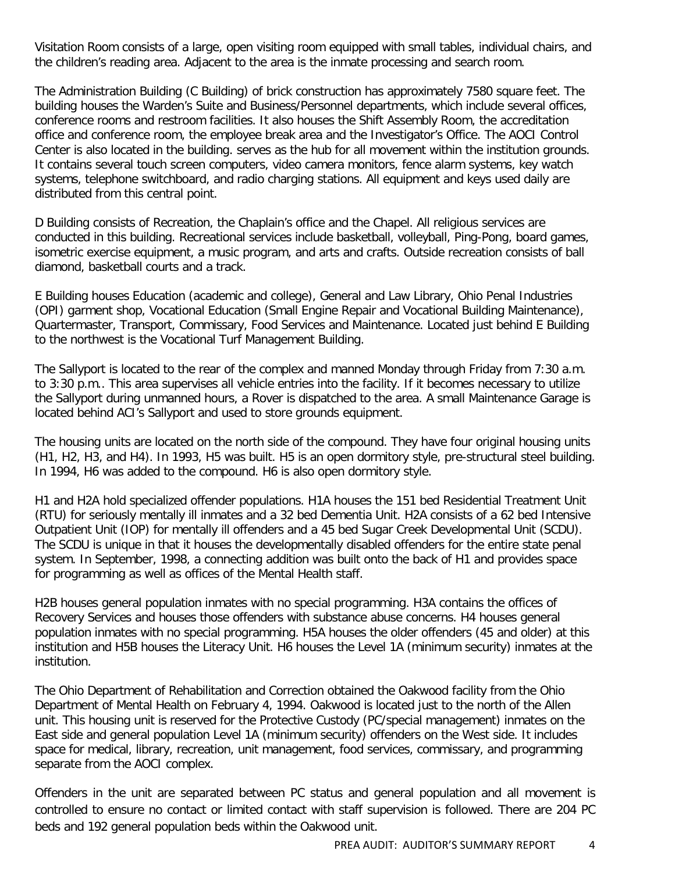Visitation Room consists of a large, open visiting room equipped with small tables, individual chairs, and the children's reading area. Adjacent to the area is the inmate processing and search room.

The Administration Building (C Building) of brick construction has approximately 7580 square feet. The building houses the Warden's Suite and Business/Personnel departments, which include several offices, conference rooms and restroom facilities. It also houses the Shift Assembly Room, the accreditation office and conference room, the employee break area and the Investigator's Office. The AOCI Control Center is also located in the building. serves as the hub for all movement within the institution grounds. It contains several touch screen computers, video camera monitors, fence alarm systems, key watch systems, telephone switchboard, and radio charging stations. All equipment and keys used daily are distributed from this central point.

D Building consists of Recreation, the Chaplain's office and the Chapel. All religious services are conducted in this building. Recreational services include basketball, volleyball, Ping-Pong, board games, isometric exercise equipment, a music program, and arts and crafts. Outside recreation consists of ball diamond, basketball courts and a track.

E Building houses Education (academic and college), General and Law Library, Ohio Penal Industries (OPI) garment shop, Vocational Education (Small Engine Repair and Vocational Building Maintenance), Quartermaster, Transport, Commissary, Food Services and Maintenance. Located just behind E Building to the northwest is the Vocational Turf Management Building.

The Sallyport is located to the rear of the complex and manned Monday through Friday from 7:30 a.m. to 3:30 p.m.. This area supervises all vehicle entries into the facility. If it becomes necessary to utilize the Sallyport during unmanned hours, a Rover is dispatched to the area. A small Maintenance Garage is located behind ACI's Sallyport and used to store grounds equipment.

The housing units are located on the north side of the compound. They have four original housing units (H1, H2, H3, and H4). In 1993, H5 was built. H5 is an open dormitory style, pre-structural steel building. In 1994, H6 was added to the compound. H6 is also open dormitory style.

H1 and H2A hold specialized offender populations. H1A houses the 151 bed Residential Treatment Unit (RTU) for seriously mentally ill inmates and a 32 bed Dementia Unit. H2A consists of a 62 bed Intensive Outpatient Unit (IOP) for mentally ill offenders and a 45 bed Sugar Creek Developmental Unit (SCDU). The SCDU is unique in that it houses the developmentally disabled offenders for the entire state penal system. In September, 1998, a connecting addition was built onto the back of H1 and provides space for programming as well as offices of the Mental Health staff.

H2B houses general population inmates with no special programming. H3A contains the offices of Recovery Services and houses those offenders with substance abuse concerns. H4 houses general population inmates with no special programming. H5A houses the older offenders (45 and older) at this institution and H5B houses the Literacy Unit. H6 houses the Level 1A (minimum security) inmates at the institution.

The Ohio Department of Rehabilitation and Correction obtained the Oakwood facility from the Ohio Department of Mental Health on February 4, 1994. Oakwood is located just to the north of the Allen unit. This housing unit is reserved for the Protective Custody (PC/special management) inmates on the East side and general population Level 1A (minimum security) offenders on the West side. It includes space for medical, library, recreation, unit management, food services, commissary, and programming separate from the AOCI complex.

Offenders in the unit are separated between PC status and general population and all movement is controlled to ensure no contact or limited contact with staff supervision is followed. There are 204 PC beds and 192 general population beds within the Oakwood unit.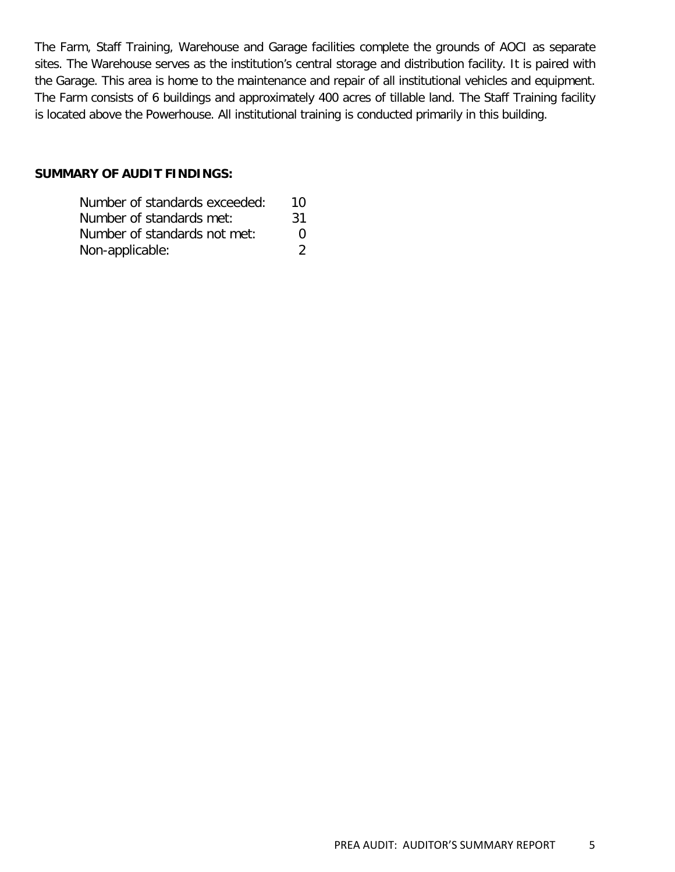The Farm, Staff Training, Warehouse and Garage facilities complete the grounds of AOCI as separate sites. The Warehouse serves as the institution's central storage and distribution facility. It is paired with the Garage. This area is home to the maintenance and repair of all institutional vehicles and equipment. The Farm consists of 6 buildings and approximately 400 acres of tillable land. The Staff Training facility is located above the Powerhouse. All institutional training is conducted primarily in this building.

#### **SUMMARY OF AUDIT FINDINGS:**

| Number of standards exceeded: | 10                                                                                                                                                                     |
|-------------------------------|------------------------------------------------------------------------------------------------------------------------------------------------------------------------|
| Number of standards met:      | -31                                                                                                                                                                    |
| Number of standards not met:  | $\mathbf{O}$                                                                                                                                                           |
| Non-applicable:               | $\mathcal{D}% =\mathcal{D}(\mathcal{D})=\mathcal{D}(\mathcal{D})=\mathcal{D}(\mathcal{D})=\mathcal{D}(\mathcal{D})=\mathcal{D}(\mathcal{D})=\mathcal{D}(\mathcal{D}).$ |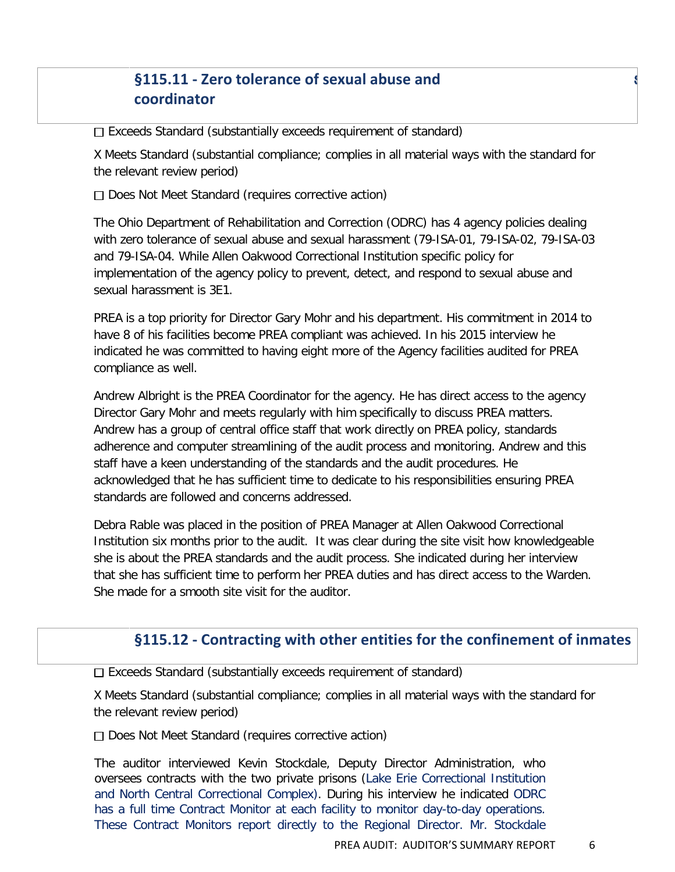# **§115.11 - Zero tolerance of sexual abuse and** s **coordinator**

 $\Box$  Exceeds Standard (substantially exceeds requirement of standard)

X Meets Standard (substantial compliance; complies in all material ways with the standard for the relevant review period)

 $\Box$  Does Not Meet Standard (requires corrective action)

The Ohio Department of Rehabilitation and Correction (ODRC) has 4 agency policies dealing with zero tolerance of sexual abuse and sexual harassment (79-ISA-01, 79-ISA-02, 79-ISA-03 and 79-ISA-04. While Allen Oakwood Correctional Institution specific policy for implementation of the agency policy to prevent, detect, and respond to sexual abuse and sexual harassment is 3E1.

PREA is a top priority for Director Gary Mohr and his department. His commitment in 2014 to have 8 of his facilities become PREA compliant was achieved. In his 2015 interview he indicated he was committed to having eight more of the Agency facilities audited for PREA compliance as well.

Andrew Albright is the PREA Coordinator for the agency. He has direct access to the agency Director Gary Mohr and meets regularly with him specifically to discuss PREA matters. Andrew has a group of central office staff that work directly on PREA policy, standards adherence and computer streamlining of the audit process and monitoring. Andrew and this staff have a keen understanding of the standards and the audit procedures. He acknowledged that he has sufficient time to dedicate to his responsibilities ensuring PREA standards are followed and concerns addressed.

Debra Rable was placed in the position of PREA Manager at Allen Oakwood Correctional Institution six months prior to the audit. It was clear during the site visit how knowledgeable she is about the PREA standards and the audit process. She indicated during her interview that she has sufficient time to perform her PREA duties and has direct access to the Warden. She made for a smooth site visit for the auditor.

# **§115.12 - Contracting with other entities for the confinement of inmates**

Exceeds Standard (substantially exceeds requirement of standard)

X Meets Standard (substantial compliance; complies in all material ways with the standard for the relevant review period)

□ Does Not Meet Standard (requires corrective action)

The auditor interviewed Kevin Stockdale, Deputy Director Administration, who oversees contracts with the two private prisons (Lake Erie Correctional Institution and North Central Correctional Complex). During his interview he indicated ODRC has a full time Contract Monitor at each facility to monitor day-to-day operations. These Contract Monitors report directly to the Regional Director. Mr. Stockdale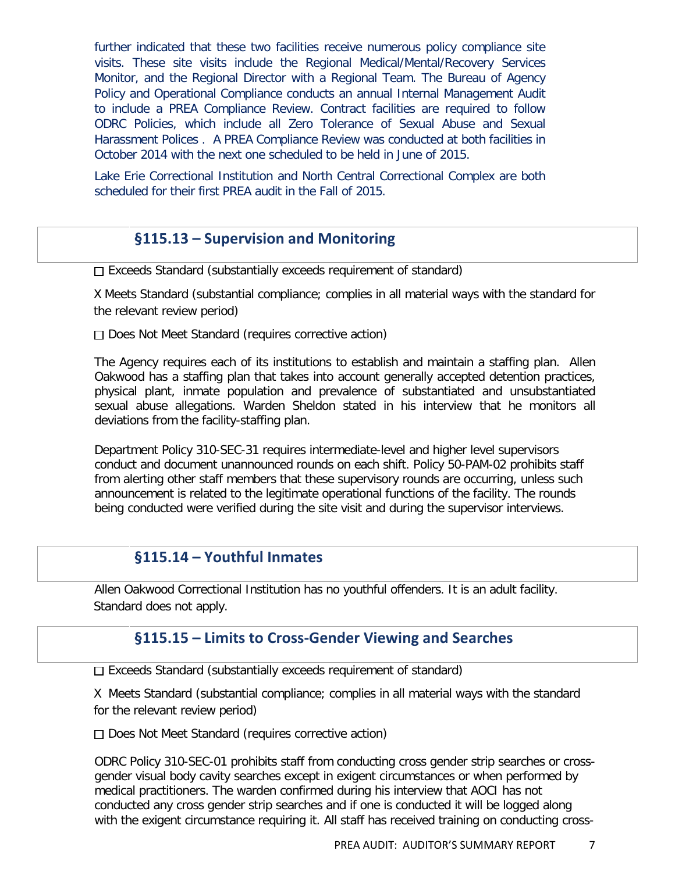further indicated that these two facilities receive numerous policy compliance site visits. These site visits include the Regional Medical/Mental/Recovery Services Monitor, and the Regional Director with a Regional Team. The Bureau of Agency Policy and Operational Compliance conducts an annual Internal Management Audit to include a PREA Compliance Review. Contract facilities are required to follow ODRC Policies, which include all Zero Tolerance of Sexual Abuse and Sexual Harassment Polices . A PREA Compliance Review was conducted at both facilities in October 2014 with the next one scheduled to be held in June of 2015.

Lake Erie Correctional Institution and North Central Correctional Complex are both scheduled for their first PREA audit in the Fall of 2015.

## **§115.13 – Supervision and Monitoring**

 $\Box$  Exceeds Standard (substantially exceeds requirement of standard)

X Meets Standard (substantial compliance; complies in all material ways with the standard for the relevant review period)

 $\Box$  Does Not Meet Standard (requires corrective action)

The Agency requires each of its institutions to establish and maintain a staffing plan. Allen Oakwood has a staffing plan that takes into account generally accepted detention practices, physical plant, inmate population and prevalence of substantiated and unsubstantiated sexual abuse allegations. Warden Sheldon stated in his interview that he monitors all deviations from the facility-staffing plan.

Department Policy 310-SEC-31 requires intermediate-level and higher level supervisors conduct and document unannounced rounds on each shift. Policy 50-PAM-02 prohibits staff from alerting other staff members that these supervisory rounds are occurring, unless such announcement is related to the legitimate operational functions of the facility. The rounds being conducted were verified during the site visit and during the supervisor interviews.

#### **§115.14 – Youthful Inmates**

Allen Oakwood Correctional Institution has no youthful offenders. It is an adult facility. Standard does not apply.

## **§115.15 – Limits to Cross-Gender Viewing and Searches**

 $\Box$  Exceeds Standard (substantially exceeds requirement of standard)

X Meets Standard (substantial compliance; complies in all material ways with the standard for the relevant review period)

 $\Box$  Does Not Meet Standard (requires corrective action)

ODRC Policy 310-SEC-01 prohibits staff from conducting cross gender strip searches or crossgender visual body cavity searches except in exigent circumstances or when performed by medical practitioners. The warden confirmed during his interview that AOCI has not conducted any cross gender strip searches and if one is conducted it will be logged along with the exigent circumstance requiring it. All staff has received training on conducting cross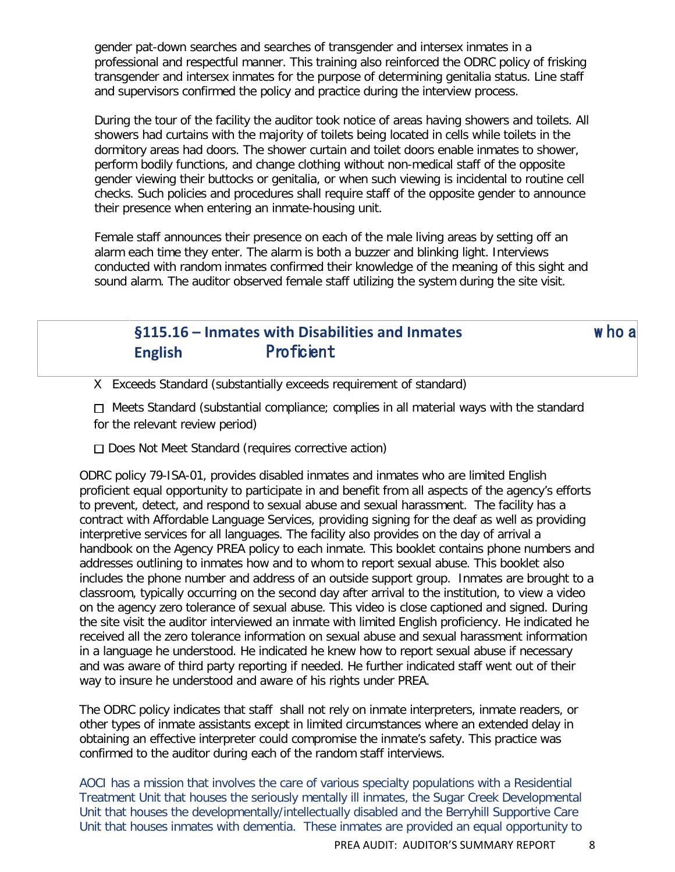gender pat-down searches and searches of transgender and intersex inmates in a professional and respectful manner. This training also reinforced the ODRC policy of frisking transgender and intersex inmates for the purpose of determining genitalia status. Line staff and supervisors confirmed the policy and practice during the interview process.

During the tour of the facility the auditor took notice of areas having showers and toilets. All showers had curtains with the majority of toilets being located in cells while toilets in the dormitory areas had doors. The shower curtain and toilet doors enable inmates to shower, perform bodily functions, and change clothing without non-medical staff of the opposite gender viewing their buttocks or genitalia, or when such viewing is incidental to routine cell checks. Such policies and procedures shall require staff of the opposite gender to announce their presence when entering an inmate-housing unit.

Female staff announces their presence on each of the male living areas by setting off an alarm each time they enter. The alarm is both a buzzer and blinking light. Interviews conducted with random inmates confirmed their knowledge of the meaning of this sight and sound alarm. The auditor observed female staff utilizing the system during the site visit.

# **§115.16 – Inmates with Disabilities and Inmates** w ho a **English** Proficient

X Exceeds Standard (substantially exceeds requirement of standard)

 $\Box$  Meets Standard (substantial compliance; complies in all material ways with the standard for the relevant review period)

 $\Box$  Does Not Meet Standard (requires corrective action)

ODRC policy 79-ISA-01, provides disabled inmates and inmates who are limited English proficient equal opportunity to participate in and benefit from all aspects of the agency's efforts to prevent, detect, and respond to sexual abuse and sexual harassment. The facility has a contract with Affordable Language Services, providing signing for the deaf as well as providing interpretive services for all languages. The facility also provides on the day of arrival a handbook on the Agency PREA policy to each inmate. This booklet contains phone numbers and addresses outlining to inmates how and to whom to report sexual abuse. This booklet also includes the phone number and address of an outside support group. Inmates are brought to a classroom, typically occurring on the second day after arrival to the institution, to view a video on the agency zero tolerance of sexual abuse. This video is close captioned and signed. During the site visit the auditor interviewed an inmate with limited English proficiency. He indicated he received all the zero tolerance information on sexual abuse and sexual harassment information in a language he understood. He indicated he knew how to report sexual abuse if necessary and was aware of third party reporting if needed. He further indicated staff went out of their way to insure he understood and aware of his rights under PREA.

The ODRC policy indicates that staff shall not rely on inmate interpreters, inmate readers, or other types of inmate assistants except in limited circumstances where an extended delay in obtaining an effective interpreter could compromise the inmate's safety. This practice was confirmed to the auditor during each of the random staff interviews.

AOCI has a mission that involves the care of various specialty populations with a Residential Treatment Unit that houses the seriously mentally ill inmates, the Sugar Creek Developmental Unit that houses the developmentally/intellectually disabled and the Berryhill Supportive Care Unit that houses inmates with dementia. These inmates are provided an equal opportunity to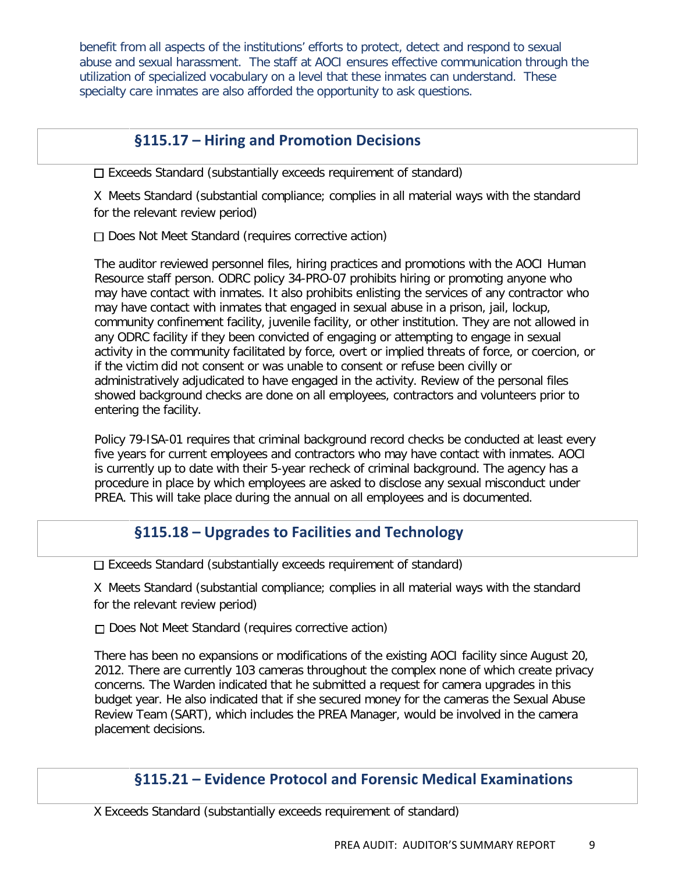benefit from all aspects of the institutions' efforts to protect, detect and respond to sexual abuse and sexual harassment. The staff at AOCI ensures effective communication through the utilization of specialized vocabulary on a level that these inmates can understand. These specialty care inmates are also afforded the opportunity to ask questions.

# **§115.17 – Hiring and Promotion Decisions**

 $\square$  Exceeds Standard (substantially exceeds requirement of standard)

X Meets Standard (substantial compliance; complies in all material ways with the standard for the relevant review period)

Does Not Meet Standard (requires corrective action)

The auditor reviewed personnel files, hiring practices and promotions with the AOCI Human Resource staff person. ODRC policy 34-PRO-07 prohibits hiring or promoting anyone who may have contact with inmates. It also prohibits enlisting the services of any contractor who may have contact with inmates that engaged in sexual abuse in a prison, jail, lockup, community confinement facility, juvenile facility, or other institution. They are not allowed in any ODRC facility if they been convicted of engaging or attempting to engage in sexual activity in the community facilitated by force, overt or implied threats of force, or coercion, or if the victim did not consent or was unable to consent or refuse been civilly or administratively adjudicated to have engaged in the activity. Review of the personal files showed background checks are done on all employees, contractors and volunteers prior to entering the facility.

Policy 79-ISA-01 requires that criminal background record checks be conducted at least every five years for current employees and contractors who may have contact with inmates. AOCI is currently up to date with their 5-year recheck of criminal background. The agency has a procedure in place by which employees are asked to disclose any sexual misconduct under PREA. This will take place during the annual on all employees and is documented.

# **§115.18 – Upgrades to Facilities and Technology**

 $\square$  Exceeds Standard (substantially exceeds requirement of standard)

X Meets Standard (substantial compliance; complies in all material ways with the standard for the relevant review period)

□ Does Not Meet Standard (requires corrective action)

There has been no expansions or modifications of the existing AOCI facility since August 20, 2012. There are currently 103 cameras throughout the complex none of which create privacy concerns. The Warden indicated that he submitted a request for camera upgrades in this budget year. He also indicated that if she secured money for the cameras the Sexual Abuse Review Team (SART), which includes the PREA Manager, would be involved in the camera placement decisions.

# **§115.21 – Evidence Protocol and Forensic Medical Examinations**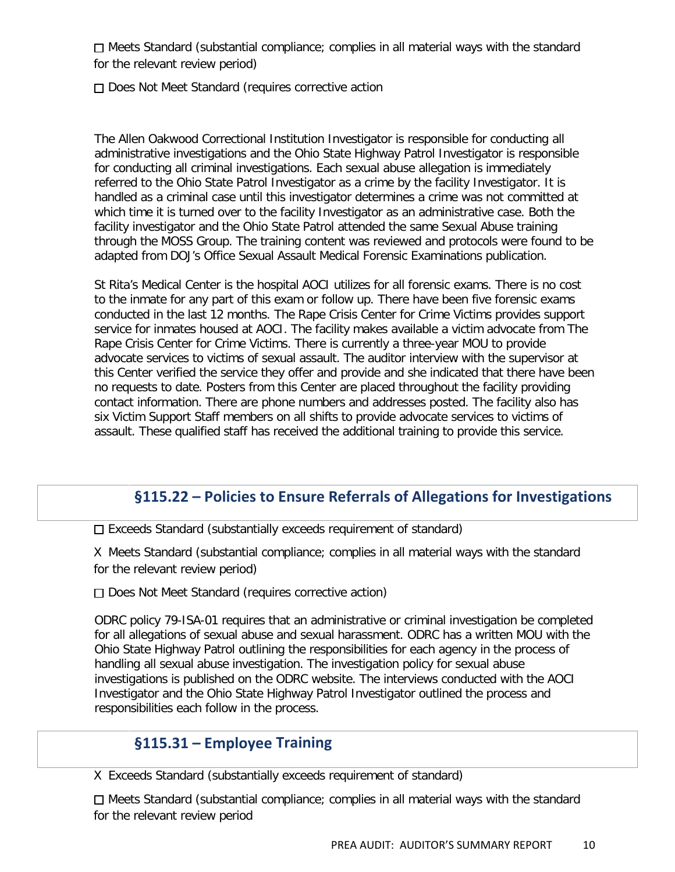□ Meets Standard (substantial compliance; complies in all material ways with the standard for the relevant review period)

□ Does Not Meet Standard (requires corrective action

The Allen Oakwood Correctional Institution Investigator is responsible for conducting all administrative investigations and the Ohio State Highway Patrol Investigator is responsible for conducting all criminal investigations. Each sexual abuse allegation is immediately referred to the Ohio State Patrol Investigator as a crime by the facility Investigator. It is handled as a criminal case until this investigator determines a crime was not committed at which time it is turned over to the facility Investigator as an administrative case. Both the facility investigator and the Ohio State Patrol attended the same Sexual Abuse training through the MOSS Group. The training content was reviewed and protocols were found to be adapted from DOJ's Office Sexual Assault Medical Forensic Examinations publication.

St Rita's Medical Center is the hospital AOCI utilizes for all forensic exams. There is no cost to the inmate for any part of this exam or follow up. There have been five forensic exams conducted in the last 12 months. The Rape Crisis Center for Crime Victims provides support service for inmates housed at AOCI. The facility makes available a victim advocate from The Rape Crisis Center for Crime Victims. There is currently a three-year MOU to provide advocate services to victims of sexual assault. The auditor interview with the supervisor at this Center verified the service they offer and provide and she indicated that there have been no requests to date. Posters from this Center are placed throughout the facility providing contact information. There are phone numbers and addresses posted. The facility also has six Victim Support Staff members on all shifts to provide advocate services to victims of assault. These qualified staff has received the additional training to provide this service.

# **§115.22 – Policies to Ensure Referrals of Allegations for Investigations**

 $\Box$  Exceeds Standard (substantially exceeds requirement of standard)

X Meets Standard (substantial compliance; complies in all material ways with the standard for the relevant review period)

 $\Box$  Does Not Meet Standard (requires corrective action)

ODRC policy 79-ISA-01 requires that an administrative or criminal investigation be completed for all allegations of sexual abuse and sexual harassment. ODRC has a written MOU with the Ohio State Highway Patrol outlining the responsibilities for each agency in the process of handling all sexual abuse investigation. The investigation policy for sexual abuse investigations is published on the ODRC website. The interviews conducted with the AOCI Investigator and the Ohio State Highway Patrol Investigator outlined the process and responsibilities each follow in the process.

# **§115.31 – Employee Training**

X Exceeds Standard (substantially exceeds requirement of standard)

 $\Box$  Meets Standard (substantial compliance; complies in all material ways with the standard for the relevant review period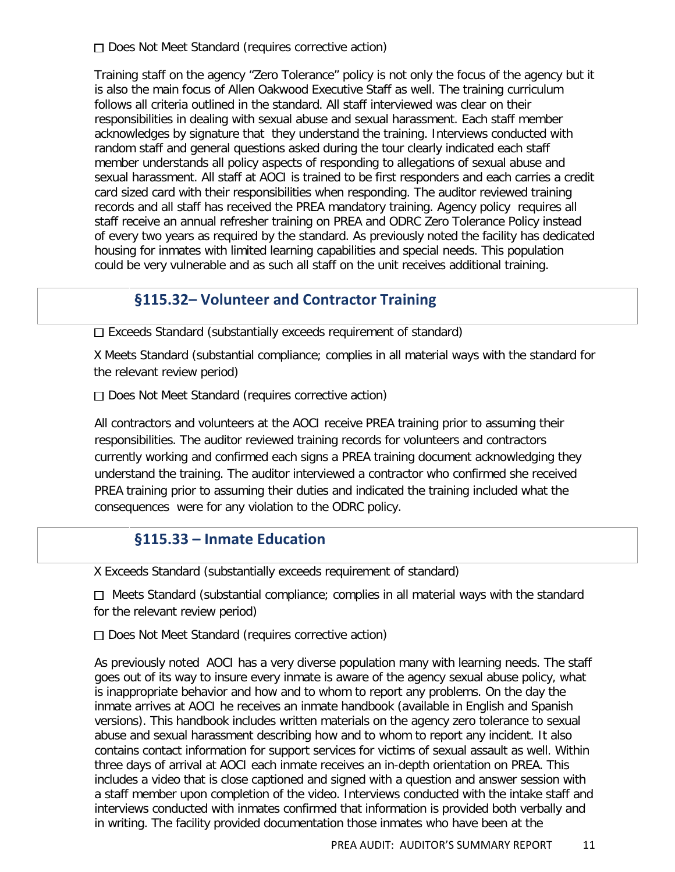□ Does Not Meet Standard (requires corrective action)

Training staff on the agency "Zero Tolerance" policy is not only the focus of the agency but it is also the main focus of Allen Oakwood Executive Staff as well. The training curriculum follows all criteria outlined in the standard. All staff interviewed was clear on their responsibilities in dealing with sexual abuse and sexual harassment. Each staff member acknowledges by signature that they understand the training. Interviews conducted with random staff and general questions asked during the tour clearly indicated each staff member understands all policy aspects of responding to allegations of sexual abuse and sexual harassment. All staff at AOCI is trained to be first responders and each carries a credit card sized card with their responsibilities when responding. The auditor reviewed training records and all staff has received the PREA mandatory training. Agency policy requires all staff receive an annual refresher training on PREA and ODRC Zero Tolerance Policy instead of every two years as required by the standard. As previously noted the facility has dedicated housing for inmates with limited learning capabilities and special needs. This population could be very vulnerable and as such all staff on the unit receives additional training.

## **§115.32– Volunteer and Contractor Training**

 $\square$  Exceeds Standard (substantially exceeds requirement of standard)

X Meets Standard (substantial compliance; complies in all material ways with the standard for the relevant review period)

□ Does Not Meet Standard (requires corrective action)

All contractors and volunteers at the AOCI receive PREA training prior to assuming their responsibilities. The auditor reviewed training records for volunteers and contractors currently working and confirmed each signs a PREA training document acknowledging they understand the training. The auditor interviewed a contractor who confirmed she received PREA training prior to assuming their duties and indicated the training included what the consequences were for any violation to the ODRC policy.

#### **§115.33 – Inmate Education**

X Exceeds Standard (substantially exceeds requirement of standard)

 $\Box$  Meets Standard (substantial compliance; complies in all material ways with the standard for the relevant review period)

 $\Box$  Does Not Meet Standard (requires corrective action)

As previously noted AOCI has a very diverse population many with learning needs. The staff goes out of its way to insure every inmate is aware of the agency sexual abuse policy, what is inappropriate behavior and how and to whom to report any problems. On the day the inmate arrives at AOCI he receives an inmate handbook (available in English and Spanish versions). This handbook includes written materials on the agency zero tolerance to sexual abuse and sexual harassment describing how and to whom to report any incident. It also contains contact information for support services for victims of sexual assault as well. Within three days of arrival at AOCI each inmate receives an in-depth orientation on PREA. This includes a video that is close captioned and signed with a question and answer session with a staff member upon completion of the video. Interviews conducted with the intake staff and interviews conducted with inmates confirmed that information is provided both verbally and in writing. The facility provided documentation those inmates who have been at the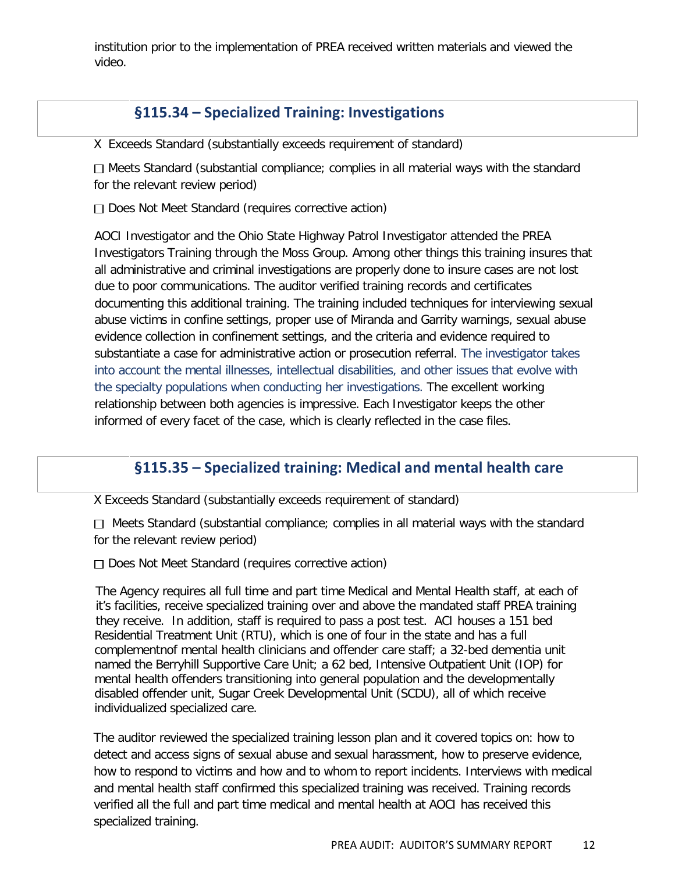institution prior to the implementation of PREA received written materials and viewed the video.

## **§115.34 – Specialized Training: Investigations**

X Exceeds Standard (substantially exceeds requirement of standard)

 $\Box$  Meets Standard (substantial compliance; complies in all material ways with the standard for the relevant review period)

 $\Box$  Does Not Meet Standard (requires corrective action)

AOCI Investigator and the Ohio State Highway Patrol Investigator attended the PREA Investigators Training through the Moss Group. Among other things this training insures that all administrative and criminal investigations are properly done to insure cases are not lost due to poor communications. The auditor verified training records and certificates documenting this additional training. The training included techniques for interviewing sexual abuse victims in confine settings, proper use of Miranda and Garrity warnings, sexual abuse evidence collection in confinement settings, and the criteria and evidence required to substantiate a case for administrative action or prosecution referral. The investigator takes into account the mental illnesses, intellectual disabilities, and other issues that evolve with the specialty populations when conducting her investigations. The excellent working relationship between both agencies is impressive. Each Investigator keeps the other informed of every facet of the case, which is clearly reflected in the case files.

## **§115.35 – Specialized training: Medical and mental health care**

X Exceeds Standard (substantially exceeds requirement of standard)

 $\Box$  Meets Standard (substantial compliance; complies in all material ways with the standard for the relevant review period)

 $\Box$  Does Not Meet Standard (requires corrective action)

 The Agency requires all full time and part time Medical and Mental Health staff, at each of it's facilities, receive specialized training over and above the mandated staff PREA training they receive. In addition, staff is required to pass a post test. ACI houses a 151 bed Residential Treatment Unit (RTU), which is one of four in the state and has a full complementnof mental health clinicians and offender care staff; a 32-bed dementia unit named the Berryhill Supportive Care Unit; a 62 bed, Intensive Outpatient Unit (IOP) for mental health offenders transitioning into general population and the developmentally disabled offender unit, Sugar Creek Developmental Unit (SCDU), all of which receive individualized specialized care.

The auditor reviewed the specialized training lesson plan and it covered topics on: how to detect and access signs of sexual abuse and sexual harassment, how to preserve evidence, how to respond to victims and how and to whom to report incidents. Interviews with medical and mental health staff confirmed this specialized training was received. Training records verified all the full and part time medical and mental health at AOCI has received this specialized training.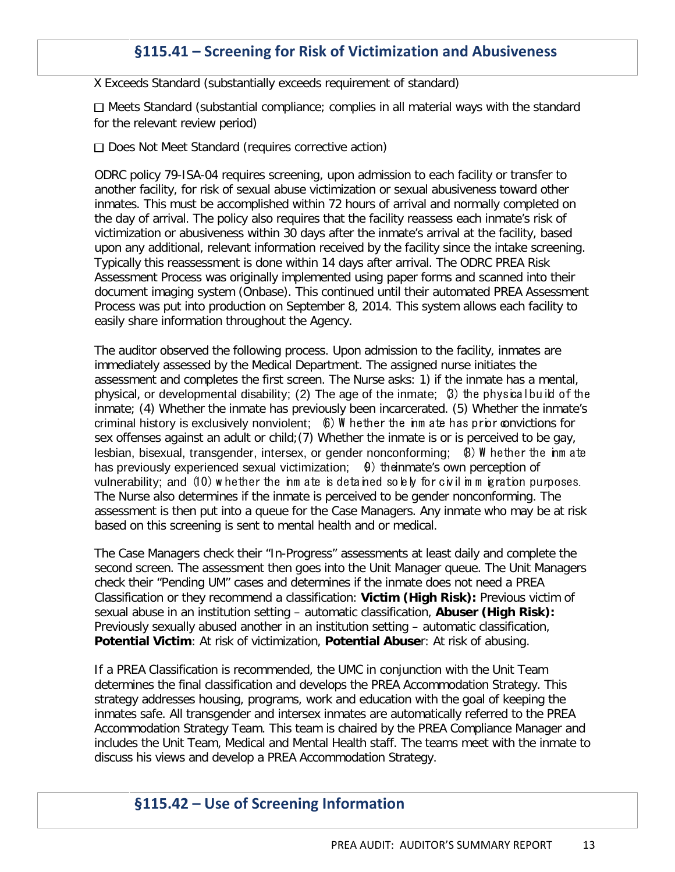# **§115.41 – Screening for Risk of Victimization and Abusiveness**

X Exceeds Standard (substantially exceeds requirement of standard)

 $\Box$  Meets Standard (substantial compliance; complies in all material ways with the standard for the relevant review period)

 $\Box$  Does Not Meet Standard (requires corrective action)

ODRC policy 79-ISA-04 requires screening, upon admission to each facility or transfer to another facility, for risk of sexual abuse victimization or sexual abusiveness toward other inmates. This must be accomplished within 72 hours of arrival and normally completed on the day of arrival. The policy also requires that the facility reassess each inmate's risk of victimization or abusiveness within 30 days after the inmate's arrival at the facility, based upon any additional, relevant information received by the facility since the intake screening. Typically this reassessment is done within 14 days after arrival. The ODRC PREA Risk Assessment Process was originally implemented using paper forms and scanned into their document imaging system (Onbase). This continued until their automated PREA Assessment Process was put into production on September 8, 2014. This system allows each facility to easily share information throughout the Agency.

The auditor observed the following process. Upon admission to the facility, inmates are immediately assessed by the Medical Department. The assigned nurse initiates the assessment and completes the first screen. The Nurse asks: 1) if the inmate has a mental, physical, or developmental disability; (2) The age of the inmate; (3) the physical build of the inmate; (4) Whether the inmate has previously been incarcerated. (5) Whether the inmate's criminal history is exclusively nonviolent; 6) W hether the inm ate has prior convictions for sex offenses against an adult or child;(7) Whether the inmate is or is perceived to be gay, lesbian, bisexual, transgender, intersex, or gender nonconforming; (8) W hether the inm ate has previously experienced sexual victimization;  $\theta$ ) the inmate's own perception of vulnerability; and (10) w hether the inm ate is detained solely for civil im m igration purposes. The Nurse also determines if the inmate is perceived to be gender nonconforming. The assessment is then put into a queue for the Case Managers. Any inmate who may be at risk based on this screening is sent to mental health and or medical.

The Case Managers check their "In-Progress" assessments at least daily and complete the second screen. The assessment then goes into the Unit Manager queue. The Unit Managers check their "Pending UM" cases and determines if the inmate does not need a PREA Classification or they recommend a classification: **Victim (High Risk):** Previous victim of sexual abuse in an institution setting – automatic classification, **Abuser (High Risk):** Previously sexually abused another in an institution setting – automatic classification, **Potential Victim**: At risk of victimization, **Potential Abuse**r: At risk of abusing.

If a PREA Classification is recommended, the UMC in conjunction with the Unit Team determines the final classification and develops the PREA Accommodation Strategy. This strategy addresses housing, programs, work and education with the goal of keeping the inmates safe. All transgender and intersex inmates are automatically referred to the PREA Accommodation Strategy Team. This team is chaired by the PREA Compliance Manager and includes the Unit Team, Medical and Mental Health staff. The teams meet with the inmate to discuss his views and develop a PREA Accommodation Strategy.

#### **§115.42 – Use of Screening Information**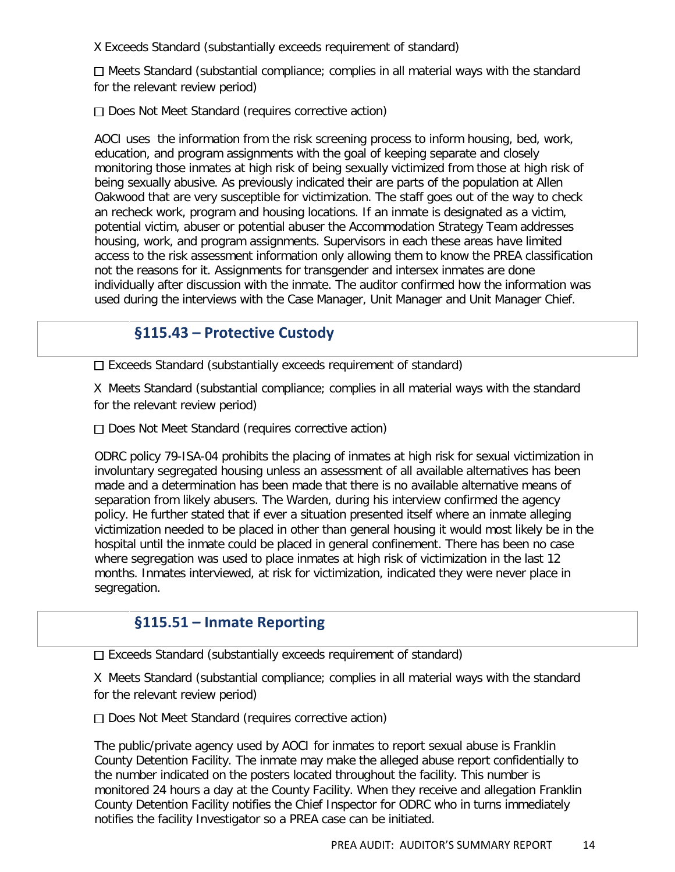X Exceeds Standard (substantially exceeds requirement of standard)

 $\Box$  Meets Standard (substantial compliance; complies in all material ways with the standard for the relevant review period)

 $\Box$  Does Not Meet Standard (requires corrective action)

AOCI uses the information from the risk screening process to inform housing, bed, work, education, and program assignments with the goal of keeping separate and closely monitoring those inmates at high risk of being sexually victimized from those at high risk of being sexually abusive. As previously indicated their are parts of the population at Allen Oakwood that are very susceptible for victimization. The staff goes out of the way to check an recheck work, program and housing locations. If an inmate is designated as a victim, potential victim, abuser or potential abuser the Accommodation Strategy Team addresses housing, work, and program assignments. Supervisors in each these areas have limited access to the risk assessment information only allowing them to know the PREA classification not the reasons for it. Assignments for transgender and intersex inmates are done individually after discussion with the inmate. The auditor confirmed how the information was used during the interviews with the Case Manager, Unit Manager and Unit Manager Chief.

## **§115.43 – Protective Custody**

 $\Box$  Exceeds Standard (substantially exceeds requirement of standard)

X Meets Standard (substantial compliance; complies in all material ways with the standard for the relevant review period)

 $\Box$  Does Not Meet Standard (requires corrective action)

ODRC policy 79-ISA-04 prohibits the placing of inmates at high risk for sexual victimization in involuntary segregated housing unless an assessment of all available alternatives has been made and a determination has been made that there is no available alternative means of separation from likely abusers. The Warden, during his interview confirmed the agency policy. He further stated that if ever a situation presented itself where an inmate alleging victimization needed to be placed in other than general housing it would most likely be in the hospital until the inmate could be placed in general confinement. There has been no case where segregation was used to place inmates at high risk of victimization in the last 12 months. Inmates interviewed, at risk for victimization, indicated they were never place in segregation.

## **§115.51 – Inmate Reporting**

 $\square$  Exceeds Standard (substantially exceeds requirement of standard)

X Meets Standard (substantial compliance; complies in all material ways with the standard for the relevant review period)

Does Not Meet Standard (requires corrective action)

The public/private agency used by AOCI for inmates to report sexual abuse is Franklin County Detention Facility. The inmate may make the alleged abuse report confidentially to the number indicated on the posters located throughout the facility. This number is monitored 24 hours a day at the County Facility. When they receive and allegation Franklin County Detention Facility notifies the Chief Inspector for ODRC who in turns immediately notifies the facility Investigator so a PREA case can be initiated.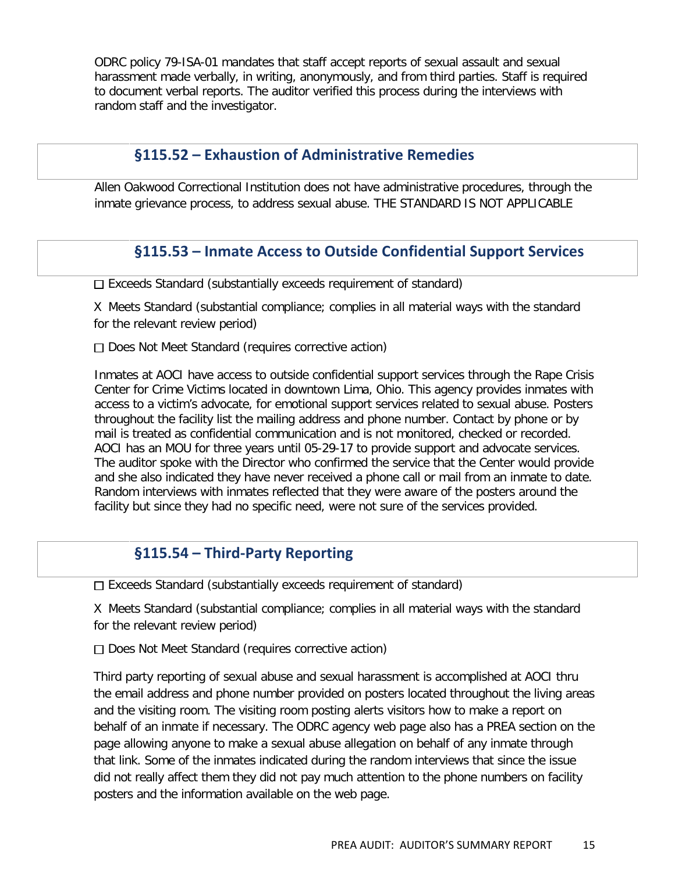ODRC policy 79-ISA-01 mandates that staff accept reports of sexual assault and sexual harassment made verbally, in writing, anonymously, and from third parties. Staff is required to document verbal reports. The auditor verified this process during the interviews with random staff and the investigator.

#### **§115.52 – Exhaustion of Administrative Remedies**

Allen Oakwood Correctional Institution does not have administrative procedures, through the inmate grievance process, to address sexual abuse. THE STANDARD IS NOT APPLICABLE

## **§115.53 – Inmate Access to Outside Confidential Support Services**

 $\square$  Exceeds Standard (substantially exceeds requirement of standard)

X Meets Standard (substantial compliance; complies in all material ways with the standard for the relevant review period)

 $\Box$  Does Not Meet Standard (requires corrective action)

Inmates at AOCI have access to outside confidential support services through the Rape Crisis Center for Crime Victims located in downtown Lima, Ohio. This agency provides inmates with access to a victim's advocate, for emotional support services related to sexual abuse. Posters throughout the facility list the mailing address and phone number. Contact by phone or by mail is treated as confidential communication and is not monitored, checked or recorded. AOCI has an MOU for three years until 05-29-17 to provide support and advocate services. The auditor spoke with the Director who confirmed the service that the Center would provide and she also indicated they have never received a phone call or mail from an inmate to date. Random interviews with inmates reflected that they were aware of the posters around the facility but since they had no specific need, were not sure of the services provided.

## **§115.54 – Third-Party Reporting**

 $\square$  Exceeds Standard (substantially exceeds requirement of standard)

X Meets Standard (substantial compliance; complies in all material ways with the standard for the relevant review period)

 $\Box$  Does Not Meet Standard (requires corrective action)

Third party reporting of sexual abuse and sexual harassment is accomplished at AOCI thru the email address and phone number provided on posters located throughout the living areas and the visiting room. The visiting room posting alerts visitors how to make a report on behalf of an inmate if necessary. The ODRC agency web page also has a PREA section on the page allowing anyone to make a sexual abuse allegation on behalf of any inmate through that link. Some of the inmates indicated during the random interviews that since the issue did not really affect them they did not pay much attention to the phone numbers on facility posters and the information available on the web page.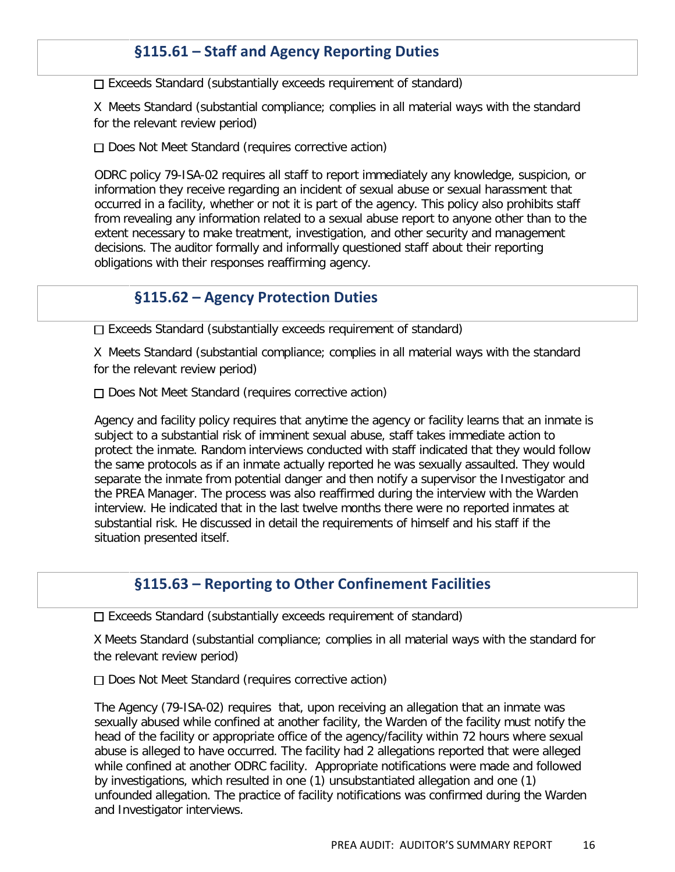# **§115.61 – Staff and Agency Reporting Duties**

 $\Box$  Exceeds Standard (substantially exceeds requirement of standard)

X Meets Standard (substantial compliance; complies in all material ways with the standard for the relevant review period)

 $\Box$  Does Not Meet Standard (requires corrective action)

ODRC policy 79-ISA-02 requires all staff to report immediately any knowledge, suspicion, or information they receive regarding an incident of sexual abuse or sexual harassment that occurred in a facility, whether or not it is part of the agency. This policy also prohibits staff from revealing any information related to a sexual abuse report to anyone other than to the extent necessary to make treatment, investigation, and other security and management decisions. The auditor formally and informally questioned staff about their reporting obligations with their responses reaffirming agency.

#### **§115.62 – Agency Protection Duties**

 $\Box$  Exceeds Standard (substantially exceeds requirement of standard)

X Meets Standard (substantial compliance; complies in all material ways with the standard for the relevant review period)

Does Not Meet Standard (requires corrective action)

Agency and facility policy requires that anytime the agency or facility learns that an inmate is subject to a substantial risk of imminent sexual abuse, staff takes immediate action to protect the inmate. Random interviews conducted with staff indicated that they would follow the same protocols as if an inmate actually reported he was sexually assaulted. They would separate the inmate from potential danger and then notify a supervisor the Investigator and the PREA Manager. The process was also reaffirmed during the interview with the Warden interview. He indicated that in the last twelve months there were no reported inmates at substantial risk. He discussed in detail the requirements of himself and his staff if the situation presented itself.

#### **§115.63 – Reporting to Other Confinement Facilities**

 $\Box$  Exceeds Standard (substantially exceeds requirement of standard)

X Meets Standard (substantial compliance; complies in all material ways with the standard for the relevant review period)

 $\Box$  Does Not Meet Standard (requires corrective action)

The Agency (79-ISA-02) requires that, upon receiving an allegation that an inmate was sexually abused while confined at another facility, the Warden of the facility must notify the head of the facility or appropriate office of the agency/facility within 72 hours where sexual abuse is alleged to have occurred. The facility had 2 allegations reported that were alleged while confined at another ODRC facility. Appropriate notifications were made and followed by investigations, which resulted in one (1) unsubstantiated allegation and one (1) unfounded allegation. The practice of facility notifications was confirmed during the Warden and Investigator interviews.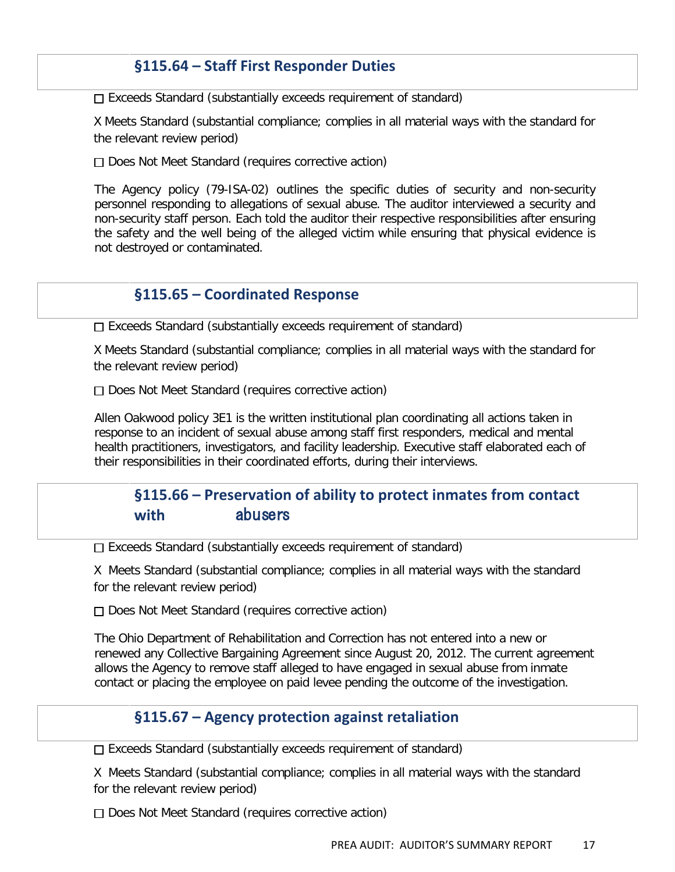## **§115.64 – Staff First Responder Duties**

 $\square$  Exceeds Standard (substantially exceeds requirement of standard)

X Meets Standard (substantial compliance; complies in all material ways with the standard for the relevant review period)

 $\Box$  Does Not Meet Standard (requires corrective action)

The Agency policy (79-ISA-02) outlines the specific duties of security and non-security personnel responding to allegations of sexual abuse. The auditor interviewed a security and non-security staff person. Each told the auditor their respective responsibilities after ensuring the safety and the well being of the alleged victim while ensuring that physical evidence is not destroyed or contaminated.

## **§115.65 – Coordinated Response**

 $\square$  Exceeds Standard (substantially exceeds requirement of standard)

X Meets Standard (substantial compliance; complies in all material ways with the standard for the relevant review period)

 $\Box$  Does Not Meet Standard (requires corrective action)

Allen Oakwood policy 3E1 is the written institutional plan coordinating all actions taken in response to an incident of sexual abuse among staff first responders, medical and mental health practitioners, investigators, and facility leadership. Executive staff elaborated each of their responsibilities in their coordinated efforts, during their interviews.

# **§115.66 – Preservation of ability to protect inmates from contact with** abusers

 $\Box$  Exceeds Standard (substantially exceeds requirement of standard)

X Meets Standard (substantial compliance; complies in all material ways with the standard for the relevant review period)

Does Not Meet Standard (requires corrective action)

The Ohio Department of Rehabilitation and Correction has not entered into a new or renewed any Collective Bargaining Agreement since August 20, 2012. The current agreement allows the Agency to remove staff alleged to have engaged in sexual abuse from inmate contact or placing the employee on paid levee pending the outcome of the investigation.

#### **§115.67 – Agency protection against retaliation**

 $\Box$  Exceeds Standard (substantially exceeds requirement of standard)

X Meets Standard (substantial compliance; complies in all material ways with the standard for the relevant review period)

 $\Box$  Does Not Meet Standard (requires corrective action)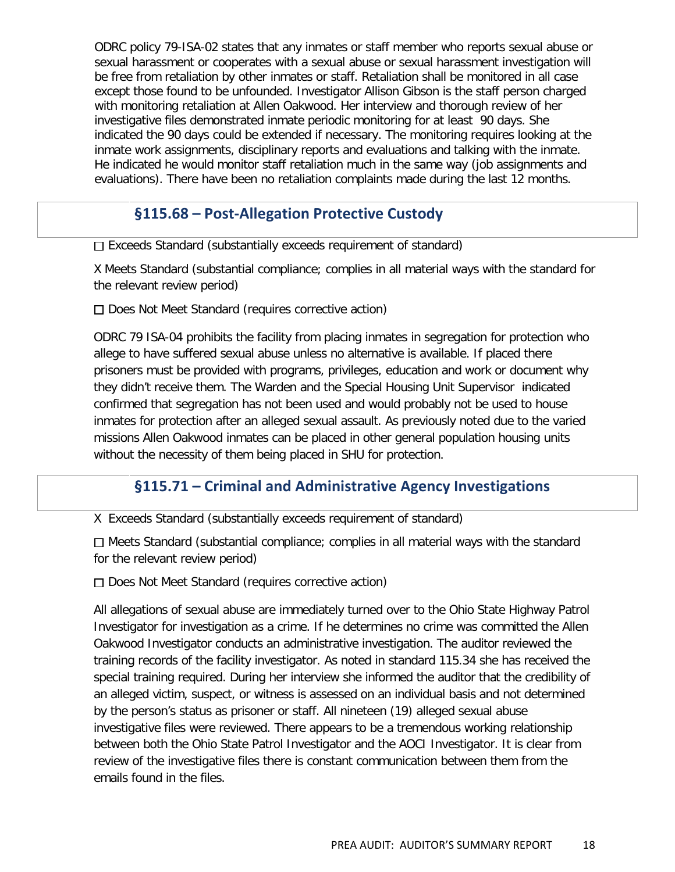ODRC policy 79-ISA-02 states that any inmates or staff member who reports sexual abuse or sexual harassment or cooperates with a sexual abuse or sexual harassment investigation will be free from retaliation by other inmates or staff. Retaliation shall be monitored in all case except those found to be unfounded. Investigator Allison Gibson is the staff person charged with monitoring retaliation at Allen Oakwood. Her interview and thorough review of her investigative files demonstrated inmate periodic monitoring for at least 90 days. She indicated the 90 days could be extended if necessary. The monitoring requires looking at the inmate work assignments, disciplinary reports and evaluations and talking with the inmate. He indicated he would monitor staff retaliation much in the same way (job assignments and evaluations). There have been no retaliation complaints made during the last 12 months.

## **§115.68 – Post-Allegation Protective Custody**

 $\Box$  Exceeds Standard (substantially exceeds requirement of standard)

X Meets Standard (substantial compliance; complies in all material ways with the standard for the relevant review period)

Does Not Meet Standard (requires corrective action)

ODRC 79 ISA-04 prohibits the facility from placing inmates in segregation for protection who allege to have suffered sexual abuse unless no alternative is available. If placed there prisoners must be provided with programs, privileges, education and work or document why they didn't receive them. The Warden and the Special Housing Unit Supervisor indicated confirmed that segregation has not been used and would probably not be used to house inmates for protection after an alleged sexual assault. As previously noted due to the varied missions Allen Oakwood inmates can be placed in other general population housing units without the necessity of them being placed in SHU for protection.

# **§115.71 – Criminal and Administrative Agency Investigations**

X Exceeds Standard (substantially exceeds requirement of standard)

 $\Box$  Meets Standard (substantial compliance; complies in all material ways with the standard for the relevant review period)

 $\Box$  Does Not Meet Standard (requires corrective action)

All allegations of sexual abuse are immediately turned over to the Ohio State Highway Patrol Investigator for investigation as a crime. If he determines no crime was committed the Allen Oakwood Investigator conducts an administrative investigation. The auditor reviewed the training records of the facility investigator. As noted in standard 115.34 she has received the special training required. During her interview she informed the auditor that the credibility of an alleged victim, suspect, or witness is assessed on an individual basis and not determined by the person's status as prisoner or staff. All nineteen (19) alleged sexual abuse investigative files were reviewed. There appears to be a tremendous working relationship between both the Ohio State Patrol Investigator and the AOCI Investigator. It is clear from review of the investigative files there is constant communication between them from the emails found in the files.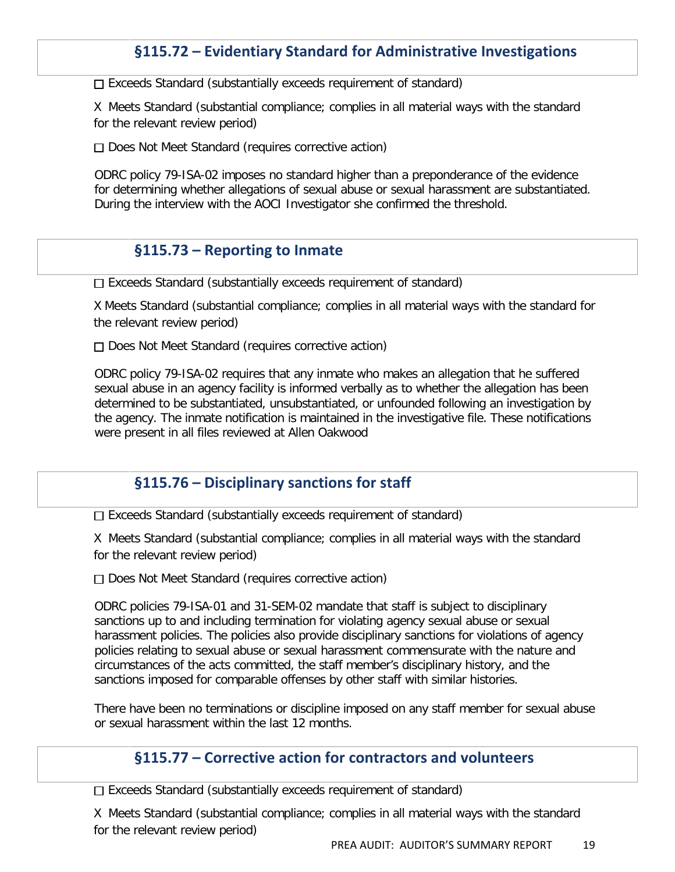# **§115.72 – Evidentiary Standard for Administrative Investigations**

 $\Box$  Exceeds Standard (substantially exceeds requirement of standard)

X Meets Standard (substantial compliance; complies in all material ways with the standard for the relevant review period)

 $\Box$  Does Not Meet Standard (requires corrective action)

ODRC policy 79-ISA-02 imposes no standard higher than a preponderance of the evidence for determining whether allegations of sexual abuse or sexual harassment are substantiated. During the interview with the AOCI Investigator she confirmed the threshold.

#### **§115.73 – Reporting to Inmate**

 $\Box$  Exceeds Standard (substantially exceeds requirement of standard)

X Meets Standard (substantial compliance; complies in all material ways with the standard for the relevant review period)

 $\Box$  Does Not Meet Standard (requires corrective action)

ODRC policy 79-ISA-02 requires that any inmate who makes an allegation that he suffered sexual abuse in an agency facility is informed verbally as to whether the allegation has been determined to be substantiated, unsubstantiated, or unfounded following an investigation by the agency. The inmate notification is maintained in the investigative file. These notifications were present in all files reviewed at Allen Oakwood

#### **§115.76 – Disciplinary sanctions for staff**

 $\square$  Exceeds Standard (substantially exceeds requirement of standard)

X Meets Standard (substantial compliance; complies in all material ways with the standard for the relevant review period)

 $\Box$  Does Not Meet Standard (requires corrective action)

ODRC policies 79-ISA-01 and 31-SEM-02 mandate that staff is subject to disciplinary sanctions up to and including termination for violating agency sexual abuse or sexual harassment policies. The policies also provide disciplinary sanctions for violations of agency policies relating to sexual abuse or sexual harassment commensurate with the nature and circumstances of the acts committed, the staff member's disciplinary history, and the sanctions imposed for comparable offenses by other staff with similar histories.

There have been no terminations or discipline imposed on any staff member for sexual abuse or sexual harassment within the last 12 months.

#### **§115.77 – Corrective action for contractors and volunteers**

 $\Box$  Exceeds Standard (substantially exceeds requirement of standard)

X Meets Standard (substantial compliance; complies in all material ways with the standard for the relevant review period)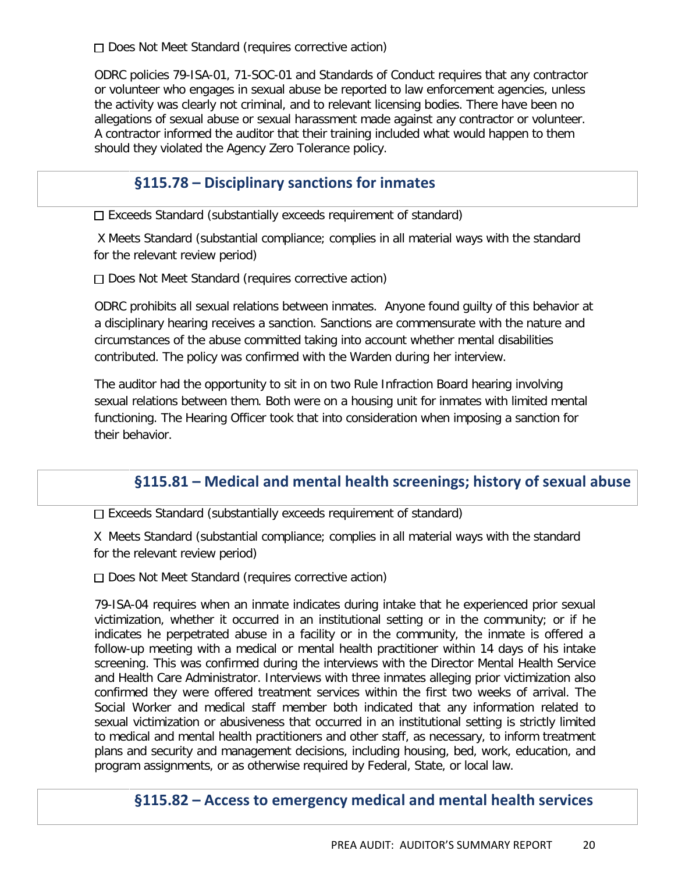□ Does Not Meet Standard (requires corrective action)

ODRC policies 79-ISA-01, 71-SOC-01 and Standards of Conduct requires that any contractor or volunteer who engages in sexual abuse be reported to law enforcement agencies, unless the activity was clearly not criminal, and to relevant licensing bodies. There have been no allegations of sexual abuse or sexual harassment made against any contractor or volunteer. A contractor informed the auditor that their training included what would happen to them should they violated the Agency Zero Tolerance policy.

# **§115.78 – Disciplinary sanctions for inmates**

 $\Box$  Exceeds Standard (substantially exceeds requirement of standard)

X Meets Standard (substantial compliance; complies in all material ways with the standard for the relevant review period)

□ Does Not Meet Standard (requires corrective action)

ODRC prohibits all sexual relations between inmates. Anyone found guilty of this behavior at a disciplinary hearing receives a sanction. Sanctions are commensurate with the nature and circumstances of the abuse committed taking into account whether mental disabilities contributed. The policy was confirmed with the Warden during her interview.

The auditor had the opportunity to sit in on two Rule Infraction Board hearing involving sexual relations between them. Both were on a housing unit for inmates with limited mental functioning. The Hearing Officer took that into consideration when imposing a sanction for their behavior.

# **§115.81 – Medical and mental health screenings; history of sexual abuse**

Exceeds Standard (substantially exceeds requirement of standard)

X Meets Standard (substantial compliance; complies in all material ways with the standard for the relevant review period)

Does Not Meet Standard (requires corrective action)

79-ISA-04 requires when an inmate indicates during intake that he experienced prior sexual victimization, whether it occurred in an institutional setting or in the community; or if he indicates he perpetrated abuse in a facility or in the community, the inmate is offered a follow-up meeting with a medical or mental health practitioner within 14 days of his intake screening. This was confirmed during the interviews with the Director Mental Health Service and Health Care Administrator. Interviews with three inmates alleging prior victimization also confirmed they were offered treatment services within the first two weeks of arrival. The Social Worker and medical staff member both indicated that any information related to sexual victimization or abusiveness that occurred in an institutional setting is strictly limited to medical and mental health practitioners and other staff, as necessary, to inform treatment plans and security and management decisions, including housing, bed, work, education, and program assignments, or as otherwise required by Federal, State, or local law.

## **§115.82 – Access to emergency medical and mental health services**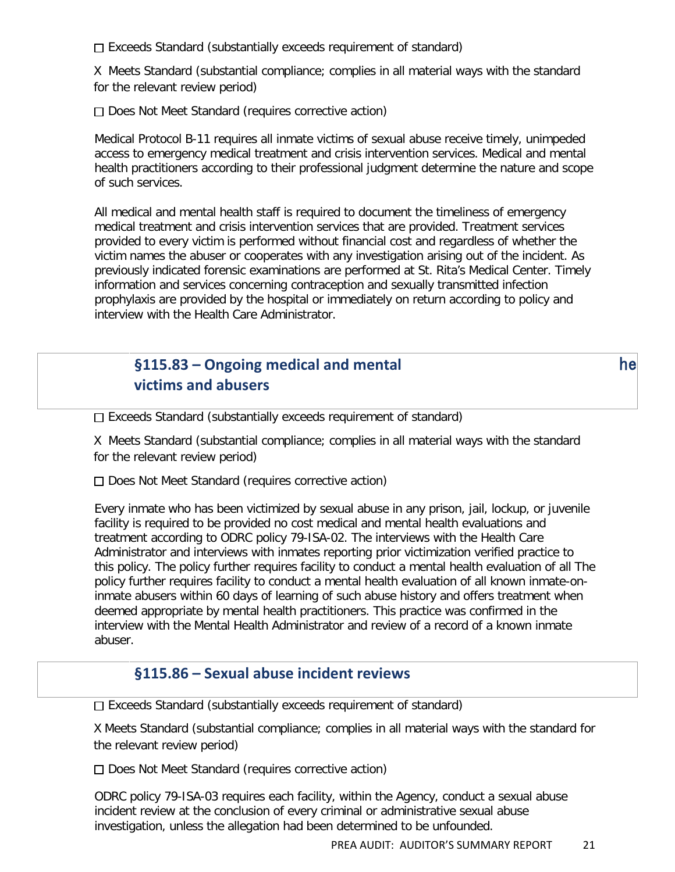□ Exceeds Standard (substantially exceeds requirement of standard)

X Meets Standard (substantial compliance; complies in all material ways with the standard for the relevant review period)

 $\Box$  Does Not Meet Standard (requires corrective action)

Medical Protocol B-11 requires all inmate victims of sexual abuse receive timely, unimpeded access to emergency medical treatment and crisis intervention services. Medical and mental health practitioners according to their professional judgment determine the nature and scope of such services.

All medical and mental health staff is required to document the timeliness of emergency medical treatment and crisis intervention services that are provided. Treatment services provided to every victim is performed without financial cost and regardless of whether the victim names the abuser or cooperates with any investigation arising out of the incident. As previously indicated forensic examinations are performed at St. Rita's Medical Center. Timely information and services concerning contraception and sexually transmitted infection prophylaxis are provided by the hospital or immediately on return according to policy and interview with the Health Care Administrator.

# **§115.83 – Ongoing medical and mental** he 
**victims and abusers**

 $\square$  Exceeds Standard (substantially exceeds requirement of standard)

X Meets Standard (substantial compliance; complies in all material ways with the standard for the relevant review period)

 $\Box$  Does Not Meet Standard (requires corrective action)

Every inmate who has been victimized by sexual abuse in any prison, jail, lockup, or juvenile facility is required to be provided no cost medical and mental health evaluations and treatment according to ODRC policy 79-ISA-02. The interviews with the Health Care Administrator and interviews with inmates reporting prior victimization verified practice to this policy. The policy further requires facility to conduct a mental health evaluation of all The policy further requires facility to conduct a mental health evaluation of all known inmate-oninmate abusers within 60 days of learning of such abuse history and offers treatment when deemed appropriate by mental health practitioners. This practice was confirmed in the interview with the Mental Health Administrator and review of a record of a known inmate abuser.

#### **§115.86 – Sexual abuse incident reviews**

 $\Box$  Exceeds Standard (substantially exceeds requirement of standard)

X Meets Standard (substantial compliance; complies in all material ways with the standard for the relevant review period)

□ Does Not Meet Standard (requires corrective action)

ODRC policy 79-ISA-03 requires each facility, within the Agency, conduct a sexual abuse incident review at the conclusion of every criminal or administrative sexual abuse investigation, unless the allegation had been determined to be unfounded.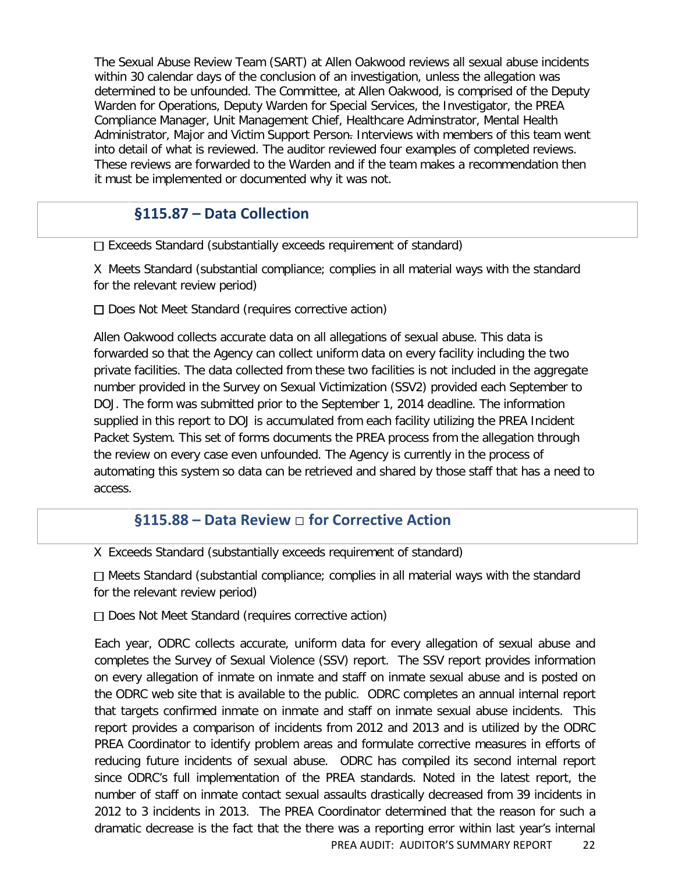The Sexual Abuse Review Team (SART) at Allen Oakwood reviews all sexual abuse incidents within 30 calendar days of the conclusion of an investigation, unless the allegation was determined to be unfounded. The Committee, at Allen Oakwood, is comprised of the Deputy Warden for Operations, Deputy Warden for Special Services, the Investigator, the PREA Compliance Manager, Unit Management Chief, Healthcare Adminstrator, Mental Health Administrator, Major and Victim Support Person- Interviews with members of this team went into detail of what is reviewed. The auditor reviewed four examples of completed reviews. These reviews are forwarded to the Warden and if the team makes a recommendation then it must be implemented or documented why it was not.

# **§115.87 – Data Collection**

□ Exceeds Standard (substantially exceeds requirement of standard)

X Meets Standard (substantial compliance; complies in all material ways with the standard for the relevant review period)

 $\Box$  Does Not Meet Standard (requires corrective action)

Allen Oakwood collects accurate data on all allegations of sexual abuse. This data is forwarded so that the Agency can collect uniform data on every facility including the two private facilities. The data collected from these two facilities is not included in the aggregate number provided in the Survey on Sexual Victimization (SSV2) provided each September to DOJ. The form was submitted prior to the September 1, 2014 deadline. The information supplied in this report to DOJ is accumulated from each facility utilizing the PREA Incident Packet System. This set of forms documents the PREA process from the allegation through the review on every case even unfounded. The Agency is currently in the process of automating this system so data can be retrieved and shared by those staff that has a need to access.

# **§115.88 – Data Review** □ **for Corrective Action**

X Exceeds Standard (substantially exceeds requirement of standard)

Meets Standard (substantial compliance; complies in all material ways with the standard for the relevant review period)

 $\Box$  Does Not Meet Standard (requires corrective action)

Each year, ODRC collects accurate, uniform data for every allegation of sexual abuse and completes the Survey of Sexual Violence (SSV) report. The SSV report provides information on every allegation of inmate on inmate and staff on inmate sexual abuse and is posted on the ODRC web site that is available to the public. ODRC completes an annual internal report that targets confirmed inmate on inmate and staff on inmate sexual abuse incidents. This report provides a comparison of incidents from 2012 and 2013 and is utilized by the ODRC PREA Coordinator to identify problem areas and formulate corrective measures in efforts of reducing future incidents of sexual abuse. ODRC has compiled its second internal report since ODRC's full implementation of the PREA standards. Noted in the latest report, the number of staff on inmate contact sexual assaults drastically decreased from 39 incidents in 2012 to 3 incidents in 2013. The PREA Coordinator determined that the reason for such a dramatic decrease is the fact that the there was a reporting error within last year's internal